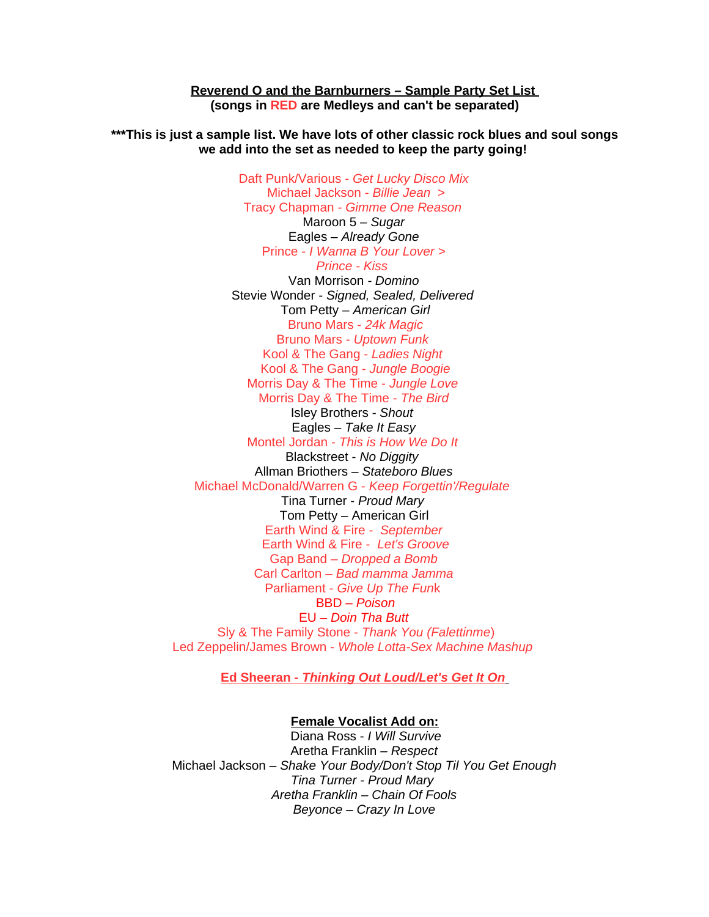**Reverend O and the Barnburners – Sample Party Set List (songs in RED are Medleys and can't be separated)**

**\*\*\*This is just a sample list. We have lots of other classic rock blues and soul songs we add into the set as needed to keep the party going!** 

> Daft Punk/Various - *Get Lucky Disco Mix* Michael Jackson - *Billie Jean* > Tracy Chapman - *Gimme One Reason* Maroon 5 – *Sugar* Eagles – *Already Gone* Prince - *I Wanna B Your Lover > Prince - Kiss*  Van Morrison *- Domino* Stevie Wonder - *Signed, Sealed, Delivered* Tom Petty – *American Girl* Bruno Mars - *24k Magic* Bruno Mars - *Uptown Funk* Kool & The Gang - *Ladies Night* Kool & The Gang - *Jungle Boogie* Morris Day & The Time - *Jungle Love* Morris Day & The Time - *The Bird* Isley Brothers *- Shout*  Eagles *– Take It Easy* Montel Jordan - *This is How We Do It* Blackstreet - *No Diggity*  Allman Briothers *– Stateboro Blues* Michael McDonald/Warren G - *Keep Forgettin'/Regulate*  Tina Turner - *Proud Mary* Tom Petty – American Girl Earth Wind & Fire - *September* Earth Wind & Fire - *Let's Groove* Gap Band *– Dropped a Bomb* Carl Carlton *– Bad mamma Jamma* Parliament - *Give Up The Fun*k BBD – *Poison* EU *– Doin Tha Butt* Sly & The Family Stone - *Thank You (Falettinme*) Led Zeppelin/James Brown - *Whole Lotta-Sex Machine Mashup*

> > **Ed Sheeran -** *Thinking Out Loud/Let's Get It On*

#### **Female Vocalist Add on:**

 Diana Ross - *I Will Survive* Aretha Franklin *– Respect* Michael Jackson – *Shake Your Body/Don't Stop Til You Get Enough Tina Turner - Proud Mary Aretha Franklin – Chain Of Fools Beyonce – Crazy In Love*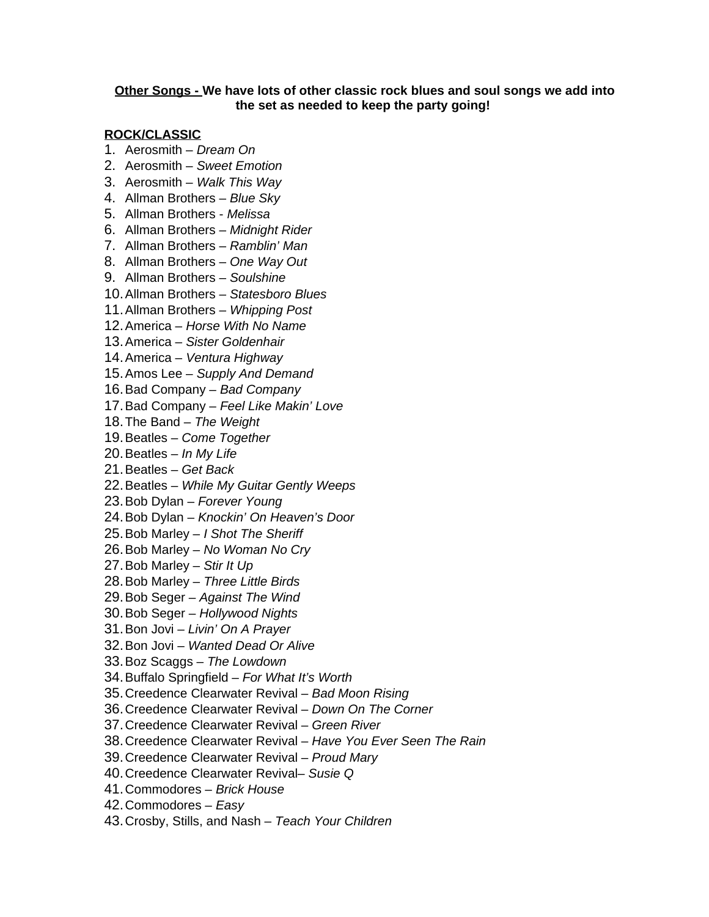## **Other Songs - We have lots of other classic rock blues and soul songs we add into the set as needed to keep the party going!**

### **ROCK/CLASSIC**

- 1. Aerosmith *Dream On*
- 2. Aerosmith *Sweet Emotion*
- 3. Aerosmith *Walk This Way*
- 4. Allman Brothers *Blue Sky*
- 5. Allman Brothers *Melissa*
- 6. Allman Brothers *Midnight Rider*
- 7. Allman Brothers *Ramblin' Man*
- 8. Allman Brothers – *One Way Out*
- 9. Allman Brothers *Soulshine*
- 10.Allman Brothers *Statesboro Blues*
- 11.Allman Brothers *Whipping Post*
- 12.America *Horse With No Name*
- 13.America *Sister Goldenhair*
- 14.America *Ventura Highway*
- 15.Amos Lee *Supply And Demand*
- 16.Bad Company *Bad Company*
- 17.Bad Company *Feel Like Makin' Love*
- 18.The Band *The Weight*
- 19.Beatles *Come Together*
- 20.Beatles *In My Life*
- 21.Beatles *Get Back*
- 22.Beatles *While My Guitar Gently Weeps*
- 23.Bob Dylan *Forever Young*
- 24.Bob Dylan *Knockin' On Heaven's Door*
- 25.Bob Marley *I Shot The Sheriff*
- 26.Bob Marley *No Woman No Cry*
- 27.Bob Marley *Stir It Up*
- 28.Bob Marley *Three Little Birds*
- 29.Bob Seger *Against The Wind*
- 30.Bob Seger *Hollywood Nights*
- 31.Bon Jovi *Livin' On A Prayer*
- 32.Bon Jovi *Wanted Dead Or Alive*
- 33.Boz Scaggs – *The Lowdown*
- 34.Buffalo Springfield *For What It's Worth*
- 35.Creedence Clearwater Revival *Bad Moon Rising*
- 36.Creedence Clearwater Revival *Down On The Corner*
- 37.Creedence Clearwater Revival *Green River*
- 38.Creedence Clearwater Revival *Have You Ever Seen The Rain*
- 39.Creedence Clearwater Revival *Proud Mary*
- 40.Creedence Clearwater Revival– *Susie Q*
- 41.Commodores *Brick House*
- 42.Commodores *Easy*
- 43.Crosby, Stills, and Nash *Teach Your Children*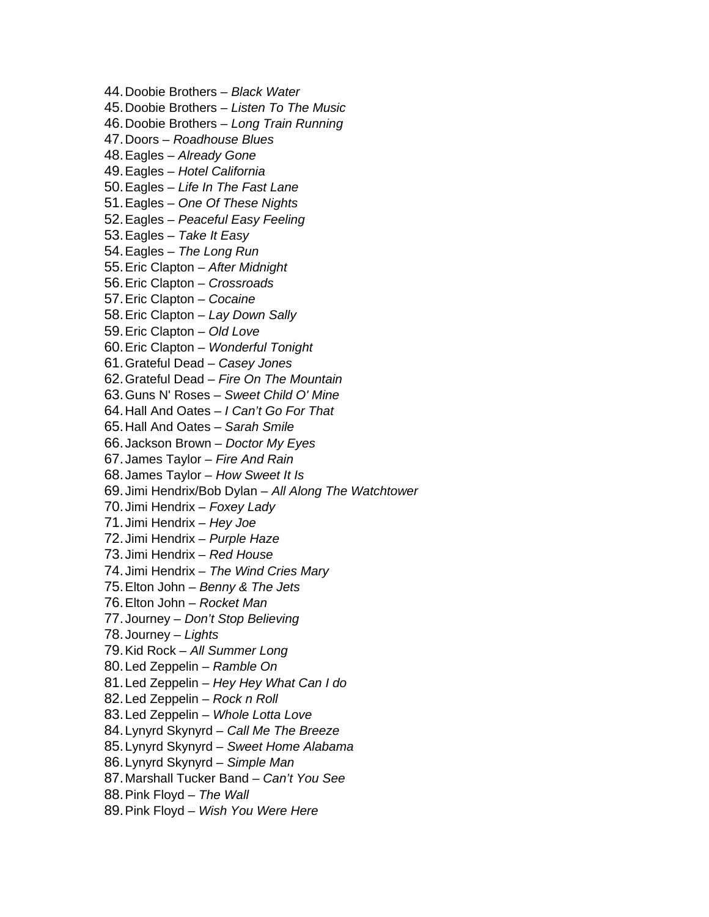- 44.Doobie Brothers *Black Water*
- 45.Doobie Brothers *Listen To The Music*
- 46.Doobie Brothers *Long Train Running*
- 47.Doors *Roadhouse Blues*
- 48.Eagles *Already Gone*
- 49.Eagles *Hotel California*
- 50.Eagles *Life In The Fast Lane*
- 51.Eagles *One Of These Nights*
- 52.Eagles *Peaceful Easy Feeling*
- 53.Eagles *Take It Easy*
- 54.Eagles *The Long Run*
- 55.Eric Clapton *After Midnight*
- 56.Eric Clapton *Crossroads*
- 57.Eric Clapton *Cocaine*
- 58.Eric Clapton *Lay Down Sally*
- 59.Eric Clapton *Old Love*
- 60.Eric Clapton *Wonderful Tonight*
- 61.Grateful Dead *Casey Jones*
- 62.Grateful Dead *Fire On The Mountain*
- 63.Guns N' Roses *Sweet Child O' Mine*
- 64.Hall And Oates *I Can't Go For That*
- 65.Hall And Oates *Sarah Smile*
- 66. Jackson Brown *Doctor My Eyes*
- 67. James Taylor *Fire And Rain*
- 68. James Taylor *How Sweet It Is*
- 69. Jimi Hendrix/Bob Dylan *All Along The Watchtower*
- 70. Jimi Hendrix *Foxey Lady*
- 71. Jimi Hendrix *Hey Joe*
- 72. Jimi Hendrix *Purple Haze*
- 73. Jimi Hendrix *Red House*
- 74. Jimi Hendrix *The Wind Cries Mary*
- 75.Elton John *Benny & The Jets*
- 76.Elton John *Rocket Man*
- 77. Journey *Don't Stop Believing*
- 78. Journey – *Lights*
- 79.Kid Rock *All Summer Long*
- 80.Led Zeppelin *Ramble On*
- 81.Led Zeppelin *Hey Hey What Can I do*
- 82.Led Zeppelin *Rock n Roll*
- 83.Led Zeppelin *Whole Lotta Love*
- 84.Lynyrd Skynyrd *Call Me The Breeze*
- 85.Lynyrd Skynyrd *Sweet Home Alabama*
- 86.Lynyrd Skynyrd *Simple Man*
- 87.Marshall Tucker Band *Can't You See*
- 88.Pink Floyd *The Wall*
- 89.Pink Floyd *Wish You Were Here*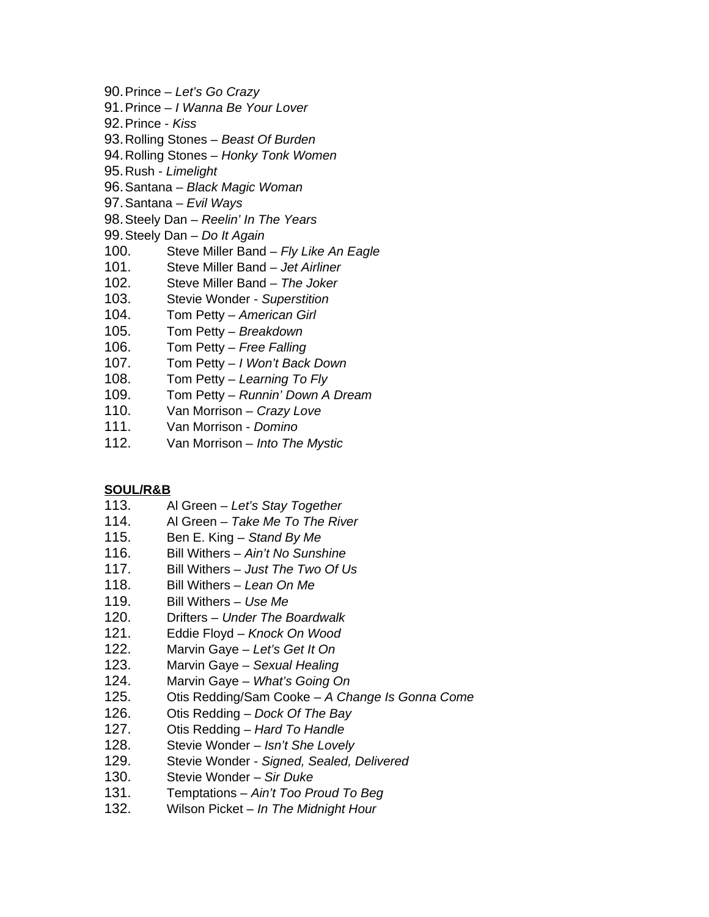- 90.Prince *Let's Go Crazy*
- 91.Prince – *I Wanna Be Your Lover*
- 92.Prince *Kiss*
- 93.Rolling Stones *Beast Of Burden*
- 94.Rolling Stones *Honky Tonk Women*
- 95.Rush *Limelight*
- 96.Santana *Black Magic Woman*
- 97.Santana *Evil Ways*
- 98.Steely Dan *Reelin' In The Years*
- 99.Steely Dan *Do It Again*
- 100. Steve Miller Band *Fly Like An Eagle*
- 101. Steve Miller Band *Jet Airliner*
- 102. Steve Miller Band *The Joker*
- 103. Stevie Wonder *Superstition*
- 104. Tom Petty *American Girl*
- 105. Tom Petty *Breakdown*
- 106. Tom Petty *Free Falling*
- 107. Tom Petty *I Won't Back Down*
- 108. Tom Petty *Learning To Fly*
- 109. Tom Petty *Runnin' Down A Dream*
- 110. Van Morrison *Crazy Love*
- 111. Van Morrison *Domino*
- 112. Van Morrison *Into The Mystic*

# **SOUL/R&B**

- 113. Al Green *Let's Stay Together*
- 114. Al Green *Take Me To The River*
- 115. Ben E. King *Stand By Me*
- 116. Bill Withers *Ain't No Sunshine*
- 117. Bill Withers *Just The Two Of Us*
- 118. Bill Withers *Lean On Me*
- 119. Bill Withers *Use Me*
- 120. Drifters *Under The Boardwalk*
- 121. Eddie Floyd *Knock On Wood*
- 122. Marvin Gaye *Let's Get It On*
- 123. Marvin Gaye *Sexual Healing*
- 124. Marvin Gaye *What's Going On*
- 125. Otis Redding/Sam Cooke *A Change Is Gonna Come*
- 126. Otis Redding *Dock Of The Bay*
- 127. Otis Redding *Hard To Handle*
- 128. Stevie Wonder *Isn't She Lovely*
- 129. Stevie Wonder *Signed, Sealed, Delivered*
- 130. Stevie Wonder – *Sir Duke*
- 131. Temptations *Ain't Too Proud To Beg*
- 132. Wilson Picket *In The Midnight Hour*